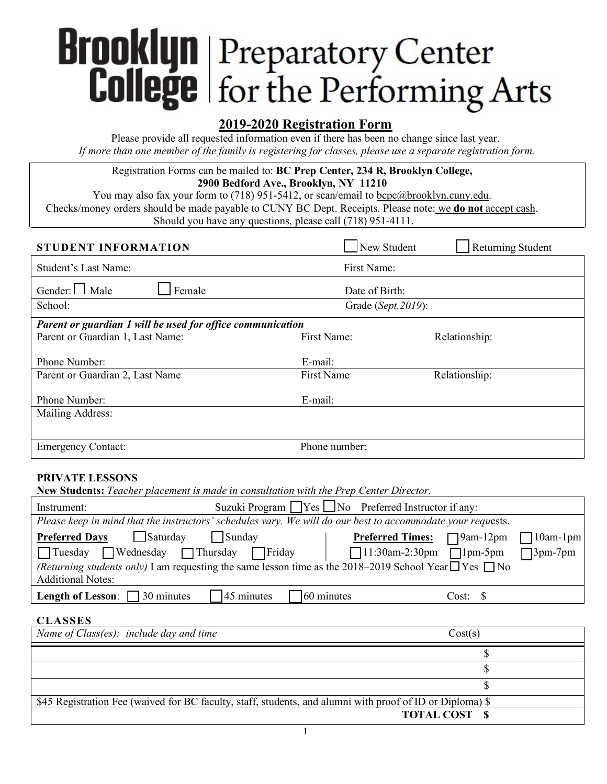# **Brooklyn** Preparatory Center<br> **College** for the Performing Arts

Please provide all requested information even if there has been no change since last year. *If more than one member of the family is registering for classes, please use a separate registration form.*

Registration Forms can be mailed to: **BC Prep Center, 234 R, Brooklyn College, 2900 Bedford Ave., Brooklyn, NY 11210**

You may also fax your form to (718) 951-5412, or scan/email to  $\underline{bcpc}$  (abrooklyn.cuny.edu. Checks/money orders should be made payable to CUNY BC Dept. Receipts. Please note: we **do not** accept cash. Should you have any questions, please call (718) 951-4111.

| STUDENT INFORMATION                                               | New Student         | <b>Returning Student</b> |  |
|-------------------------------------------------------------------|---------------------|--------------------------|--|
| Student's Last Name:                                              | First Name:         |                          |  |
| Gender: $\Box$ Male<br>Female                                     | Date of Birth:      |                          |  |
| School:                                                           | Grade (Sept. 2019): |                          |  |
| <b>Parent or guardian 1 will be used for office communication</b> |                     |                          |  |
| Parent or Guardian 1, Last Name:                                  | First Name          | Relationship:            |  |
| Phone Number:                                                     | E-mail:             |                          |  |
| Parent or Guardian 2, Last Name                                   | First Name          | Relationship:            |  |
| Phone Number:                                                     | E-mail:             |                          |  |
| Mailing Address:                                                  |                     |                          |  |
|                                                                   |                     |                          |  |
| <b>Emergency Contact:</b>                                         | Phone number:       |                          |  |

## **PRIVATE LESSONS**

**New Students:** *Teacher placement is made in consultation with the Prep Center Director.*

| Instrument:                                                                                                             |                      | Suzuki Program $\Box$ Yes $\Box$ No Preferred Instructor if any: |                 |                 |
|-------------------------------------------------------------------------------------------------------------------------|----------------------|------------------------------------------------------------------|-----------------|-----------------|
| Please keep in mind that the instructors' schedules vary. We will do our best to accommodate your requests.             |                      |                                                                  |                 |                 |
| $\Box$ Saturday<br><b>Preferred Days</b>                                                                                | Sunday               | <b>Preferred Times:</b>                                          | $\Box$ 9am-12pm | $\Box$ 10am-1pm |
| Tuesday Wednesday Thursday Friday                                                                                       |                      |                                                                  |                 | $\Box$ 3pm-7pm  |
| <i>(Returning students only)</i> I am requesting the same lesson time as the 2018–2019 School Year $\Box$ Yes $\Box$ No |                      |                                                                  |                 |                 |
| <b>Additional Notes:</b>                                                                                                |                      |                                                                  |                 |                 |
| <b>Length of Lesson:</b> $\Box$ 30 minutes                                                                              | $45 \text{ minutes}$ | 60 minutes                                                       | Cost: \$        |                 |

## **CLASSES**

| Name of Class(es): include day and time                                                                   | Cost(s)             |
|-----------------------------------------------------------------------------------------------------------|---------------------|
|                                                                                                           |                     |
|                                                                                                           |                     |
|                                                                                                           |                     |
| \$45 Registration Fee (waived for BC faculty, staff, students, and alumni with proof of ID or Diploma) \$ |                     |
|                                                                                                           | <b>TOTAL COST S</b> |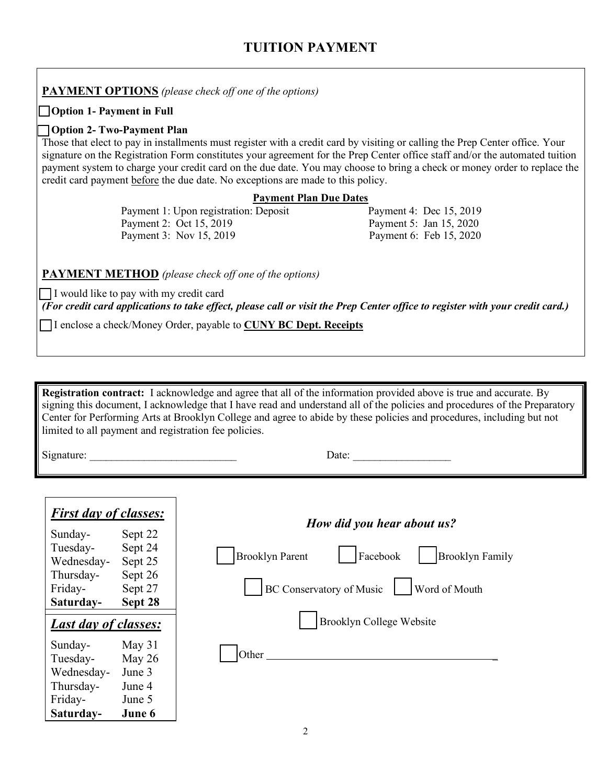# **TUITION PAYMENT**

**PAYMENT OPTIONS** *(please check off one of the options)* **Option 1- Payment in Full Option 2- Two-Payment Plan** Those that elect to pay in installments must register with a credit card by visiting or calling the Prep Center office. Your signature on the Registration Form constitutes your agreement for the Prep Center office staff and/or the automated tuition payment system to charge your credit card on the due date. You may choose to bring a check or money order to replace the credit card payment before the due date. No exceptions are made to this policy. **Payment Plan Due Dates** Payment 1: Upon registration: Deposit Payment 4: Dec 15, 2019 Payment 2: Oct 15, 2019 Payment 5: Jan 15, 2020 Payment 3: Nov 15, 2019 Payment 6: Feb 15, 2020 **PAYMENT METHOD** *(please check off one of the options)* I would like to pay with my credit card

*(For credit card applications to take effect, please call or visit the Prep Center office to register with your credit card.)*

I enclose a check/Money Order, payable to **CUNY BC Dept. Receipts**

**Registration contract:** I acknowledge and agree that all of the information provided above is true and accurate. By signing this document, I acknowledge that I have read and understand all of the policies and procedures of the Preparatory Center for Performing Arts at Brooklyn College and agree to abide by these policies and procedures, including but not limited to all payment and registration fee policies.

Signature: \_\_\_\_\_\_\_\_\_\_\_\_\_\_\_\_\_\_\_\_\_\_\_\_\_\_\_ Date: \_\_\_\_\_\_\_\_\_\_\_\_\_\_\_\_\_\_

| <b>First day of classes:</b><br>Sunday- | Sept 22            | How did you hear about us?                                   |
|-----------------------------------------|--------------------|--------------------------------------------------------------|
| Tuesday-                                | Sept 24            | Facebook<br><b>Brooklyn Parent</b><br><b>Brooklyn Family</b> |
| Wednesday-                              | Sept 25            |                                                              |
| Thursday-                               | Sept 26            | Word of Mouth                                                |
| Friday-<br>Saturday-                    | Sept 27<br>Sept 28 | BC Conservatory of Music                                     |
| <b>Last day of classes:</b>             |                    | <b>Brooklyn College Website</b>                              |
| Sunday-                                 | May $31$           |                                                              |
| Tuesday-                                | May $26$           | Other                                                        |
| Wednesday-                              | June 3             |                                                              |
| Thursday-                               | June 4             |                                                              |
| Friday-                                 | June 5             |                                                              |
| Saturday-                               | June 6             |                                                              |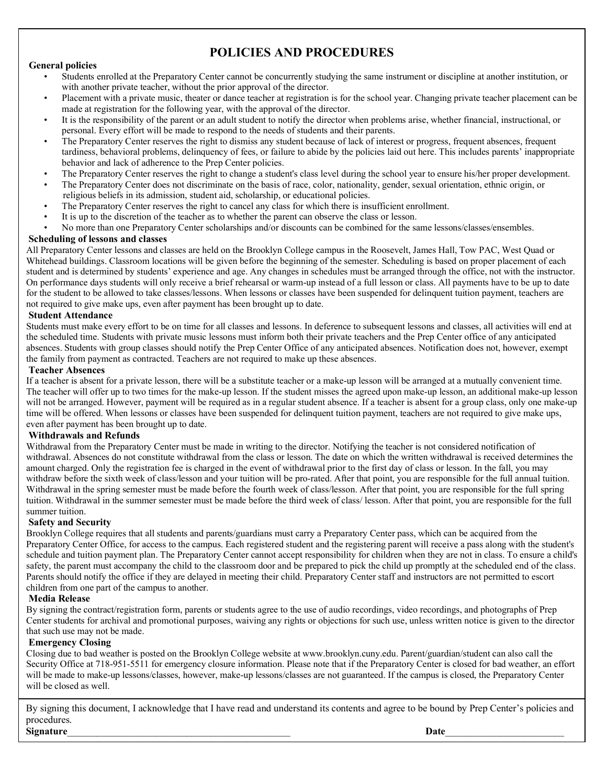# **POLICIES AND PROCEDURES**

### **General policies**

- Students enrolled at the Preparatory Center cannot be concurrently studying the same instrument or discipline at another institution, or with another private teacher, without the prior approval of the director.
- Placement with a private music, theater or dance teacher at registration is for the school year. Changing private teacher placement can be made at registration for the following year, with the approval of the director.
- It is the responsibility of the parent or an adult student to notify the director when problems arise, whether financial, instructional, or personal. Every effort will be made to respond to the needs of students and their parents.
- The Preparatory Center reserves the right to dismiss any student because of lack of interest or progress, frequent absences, frequent tardiness, behavioral problems, delinquency of fees, or failure to abide by the policies laid out here. This includes parents' inappropriate behavior and lack of adherence to the Prep Center policies.
- The Preparatory Center reserves the right to change a student's class level during the school year to ensure his/her proper development.
- The Preparatory Center does not discriminate on the basis of race, color, nationality, gender, sexual orientation, ethnic origin, or religious beliefs in its admission, student aid, scholarship, or educational policies.
- The Preparatory Center reserves the right to cancel any class for which there is insufficient enrollment.
- It is up to the discretion of the teacher as to whether the parent can observe the class or lesson.
- No more than one Preparatory Center scholarships and/or discounts can be combined for the same lessons/classes/ensembles.

### **Scheduling of lessons and classes**

All Preparatory Center lessons and classes are held on the Brooklyn College campus in the Roosevelt, James Hall, Tow PAC, West Quad or Whitehead buildings. Classroom locations will be given before the beginning of the semester. Scheduling is based on proper placement of each student and is determined by students' experience and age. Any changes in schedules must be arranged through the office, not with the instructor. On performance days students will only receive a brief rehearsal or warm-up instead of a full lesson or class. All payments have to be up to date for the student to be allowed to take classes/lessons. When lessons or classes have been suspended for delinquent tuition payment, teachers are not required to give make ups, even after payment has been brought up to date.

### **Student Attendance**

Students must make every effort to be on time for all classes and lessons. In deference to subsequent lessons and classes, all activities will end at the scheduled time. Students with private music lessons must inform both their private teachers and the Prep Center office of any anticipated absences. Students with group classes should notify the Prep Center Office of any anticipated absences. Notification does not, however, exempt the family from payment as contracted. Teachers are not required to make up these absences.

### **Teacher Absences**

If a teacher is absent for a private lesson, there will be a substitute teacher or a make-up lesson will be arranged at a mutually convenient time. The teacher will offer up to two times for the make-up lesson. If the student misses the agreed upon make-up lesson, an additional make-up lesson will not be arranged. However, payment will be required as in a regular student absence. If a teacher is absent for a group class, only one make-up time will be offered. When lessons or classes have been suspended for delinquent tuition payment, teachers are not required to give make ups, even after payment has been brought up to date.

### **Withdrawals and Refunds**

Withdrawal from the Preparatory Center must be made in writing to the director. Notifying the teacher is not considered notification of withdrawal. Absences do not constitute withdrawal from the class or lesson. The date on which the written withdrawal is received determines the amount charged. Only the registration fee is charged in the event of withdrawal prior to the first day of class or lesson. In the fall, you may withdraw before the sixth week of class/lesson and your tuition will be pro-rated. After that point, you are responsible for the full annual tuition. Withdrawal in the spring semester must be made before the fourth week of class/lesson. After that point, you are responsible for the full spring tuition. Withdrawal in the summer semester must be made before the third week of class/ lesson. After that point, you are responsible for the full summer tuition.

### **Safety and Security**

Brooklyn College requires that all students and parents/guardians must carry a Preparatory Center pass, which can be acquired from the Preparatory Center Office, for access to the campus. Each registered student and the registering parent will receive a pass along with the student's schedule and tuition payment plan. The Preparatory Center cannot accept responsibility for children when they are not in class. To ensure a child's safety, the parent must accompany the child to the classroom door and be prepared to pick the child up promptly at the scheduled end of the class. Parents should notify the office if they are delayed in meeting their child. Preparatory Center staff and instructors are not permitted to escort children from one part of the campus to another.

### **Media Release**

By signing the contract/registration form, parents or students agree to the use of audio recordings, video recordings, and photographs of Prep Center students for archival and promotional purposes, waiving any rights or objections for such use, unless written notice is given to the director that such use may not be made.

### **Emergency Closing**

Closing due to bad weather is posted on the Brooklyn College website at www.brooklyn.cuny.edu. Parent/guardian/student can also call the Security Office at 718-951-5511 for emergency closure information. Please note that if the Preparatory Center is closed for bad weather, an effort will be made to make-up lessons/classes, however, make-up lessons/classes are not guaranteed. If the campus is closed, the Preparatory Center will be closed as well.

By signing this document, I acknowledge that I have read and understand its contents and agree to be bound by Prep Center's policies and procedures. **Signature**\_\_\_\_\_\_\_\_\_\_\_\_\_\_\_\_\_\_\_\_\_\_\_\_\_\_\_\_\_\_\_\_\_\_\_\_\_\_\_\_\_\_\_\_\_ **Date**\_\_\_\_\_\_\_\_\_\_\_\_\_\_\_\_\_\_\_\_\_\_\_\_